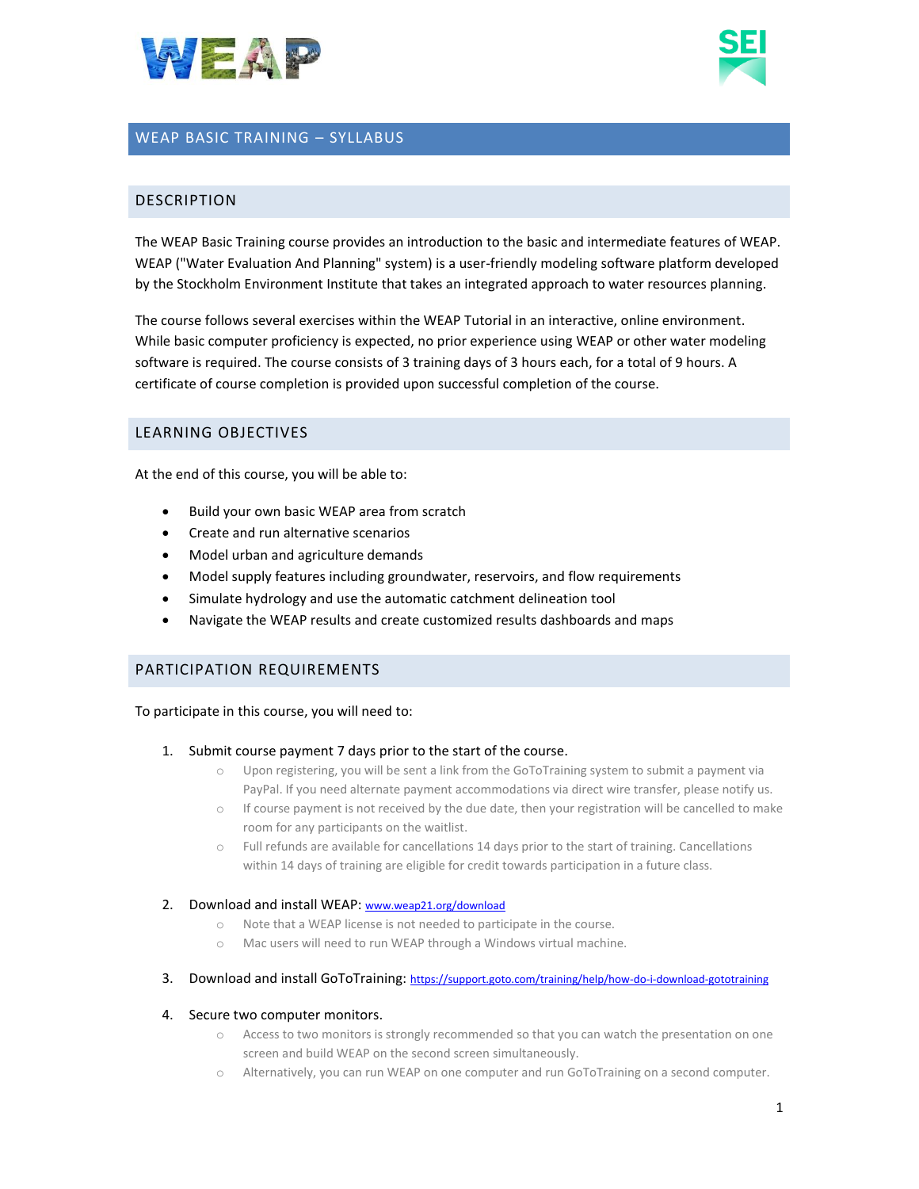



# WEAP BASIC TRAINING – SYLLABUS

### DESCRIPTION

The WEAP Basic Training course provides an introduction to the basic and intermediate features of WEAP. WEAP ("Water Evaluation And Planning" system) is a user-friendly modeling software platform developed by the Stockholm Environment Institute that takes an integrated approach to water resources planning.

The course follows several exercises within the WEAP Tutorial in an interactive, online environment. While basic computer proficiency is expected, no prior experience using WEAP or other water modeling software is required. The course consists of 3 training days of 3 hours each, for a total of 9 hours. A certificate of course completion is provided upon successful completion of the course.

### LEARNING OBJECTIVES

At the end of this course, you will be able to:

- Build your own basic WEAP area from scratch
- Create and run alternative scenarios
- Model urban and agriculture demands
- Model supply features including groundwater, reservoirs, and flow requirements
- Simulate hydrology and use the automatic catchment delineation tool
- Navigate the WEAP results and create customized results dashboards and maps

### PARTICIPATION REQUIREMENTS

To participate in this course, you will need to:

- 1. Submit course payment 7 days prior to the start of the course.
	- o Upon registering, you will be sent a link from the GoToTraining system to submit a payment via PayPal. If you need alternate payment accommodations via direct wire transfer, please notify us.
	- $\circ$  If course payment is not received by the due date, then your registration will be cancelled to make room for any participants on the waitlist.
	- o Full refunds are available for cancellations 14 days prior to the start of training. Cancellations within 14 days of training are eligible for credit towards participation in a future class.

#### 2. Download and install WEAP: [www.weap21.org/download](http://www.weap21.org/download)

- o Note that a WEAP license is not needed to participate in the course.
- o Mac users will need to run WEAP through a Windows virtual machine.
- 3. Download and install GoToTraining: <https://support.goto.com/training/help/how-do-i-download-gototraining>

#### 4. Secure two computer monitors.

- o Access to two monitors is strongly recommended so that you can watch the presentation on one screen and build WEAP on the second screen simultaneously.
- Alternatively, you can run WEAP on one computer and run GoToTraining on a second computer.